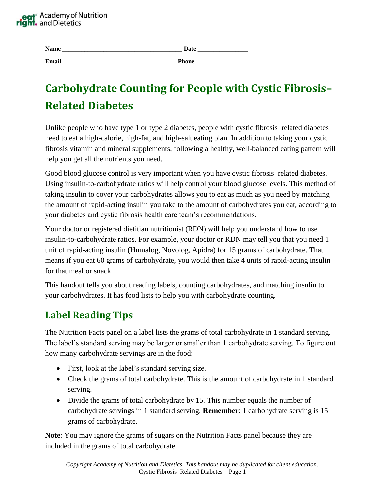# eat<sup>\*</sup> Academy of Nutrition<br>**right.** and Dietetics

| N <sub>o</sub><br>лашы       |  |
|------------------------------|--|
| $\cdot$<br>п<br>. .<br>_____ |  |

## **Carbohydrate Counting for People with Cystic Fibrosis– Related Diabetes**

Unlike people who have type 1 or type 2 diabetes, people with cystic fibrosis–related diabetes need to eat a high-calorie, high-fat, and high-salt eating plan. In addition to taking your cystic fibrosis vitamin and mineral supplements, following a healthy, well-balanced eating pattern will help you get all the nutrients you need.

Good blood glucose control is very important when you have cystic fibrosis–related diabetes. Using insulin-to-carbohydrate ratios will help control your blood glucose levels. This method of taking insulin to cover your carbohydrates allows you to eat as much as you need by matching the amount of rapid-acting insulin you take to the amount of carbohydrates you eat, according to your diabetes and cystic fibrosis health care team's recommendations.

Your doctor or registered dietitian nutritionist (RDN) will help you understand how to use insulin-to-carbohydrate ratios. For example, your doctor or RDN may tell you that you need 1 unit of rapid-acting insulin (Humalog, Novolog, Apidra) for 15 grams of carbohydrate. That means if you eat 60 grams of carbohydrate, you would then take 4 units of rapid-acting insulin for that meal or snack.

This handout tells you about reading labels, counting carbohydrates, and matching insulin to your carbohydrates. It has food lists to help you with carbohydrate counting.

## **Label Reading Tips**

The Nutrition Facts panel on a label lists the grams of total carbohydrate in 1 standard serving. The label's standard serving may be larger or smaller than 1 carbohydrate serving. To figure out how many carbohydrate servings are in the food:

- First, look at the label's standard serving size.
- Check the grams of total carbohydrate. This is the amount of carbohydrate in 1 standard serving.
- Divide the grams of total carbohydrate by 15. This number equals the number of carbohydrate servings in 1 standard serving. **Remember**: 1 carbohydrate serving is 15 grams of carbohydrate.

**Note**: You may ignore the grams of sugars on the Nutrition Facts panel because they are included in the grams of total carbohydrate.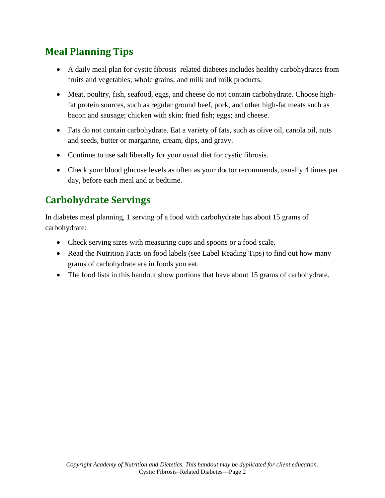## **Meal Planning Tips**

- A daily meal plan for cystic fibrosis–related diabetes includes healthy carbohydrates from fruits and vegetables; whole grains; and milk and milk products.
- Meat, poultry, fish, seafood, eggs, and cheese do not contain carbohydrate. Choose highfat protein sources, such as regular ground beef, pork, and other high-fat meats such as bacon and sausage; chicken with skin; fried fish; eggs; and cheese.
- Fats do not contain carbohydrate. Eat a variety of fats, such as olive oil, canola oil, nuts and seeds, butter or margarine, cream, dips, and gravy.
- Continue to use salt liberally for your usual diet for cystic fibrosis.
- Check your blood glucose levels as often as your doctor recommends, usually 4 times per day, before each meal and at bedtime.

## **Carbohydrate Servings**

In diabetes meal planning, 1 serving of a food with carbohydrate has about 15 grams of carbohydrate:

- Check serving sizes with measuring cups and spoons or a food scale.
- Read the Nutrition Facts on food labels (see Label Reading Tips) to find out how many grams of carbohydrate are in foods you eat.
- The food lists in this handout show portions that have about 15 grams of carbohydrate.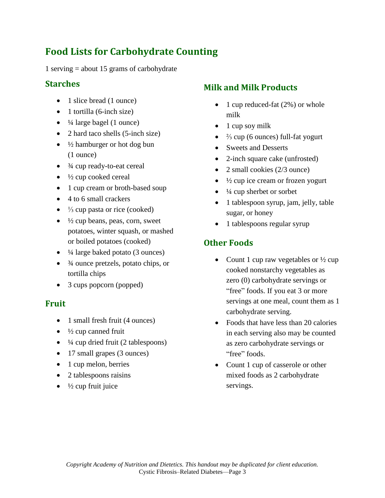## **Food Lists for Carbohydrate Counting**

1 serving = about 15 grams of carbohydrate

#### **Starches**

- 1 slice bread (1 ounce)
- $\bullet$  1 tortilla (6-inch size)
- $\bullet$   $\frac{1}{4}$  large bagel (1 ounce)
- 2 hard taco shells (5-inch size)
- $\bullet$   $\frac{1}{2}$  hamburger or hot dog bun (1 ounce)
- <sup>3</sup>/<sub>4</sub> cup ready-to-eat cereal
- $\bullet$   $\frac{1}{2}$  cup cooked cereal
- 1 cup cream or broth-based soup
- 4 to 6 small crackers
- $\frac{1}{3}$  cup pasta or rice (cooked)
- $\bullet$   $\frac{1}{2}$  cup beans, peas, corn, sweet potatoes, winter squash, or mashed or boiled potatoes (cooked)
- $\bullet$  <sup>1</sup>/<sub>4</sub> large baked potato (3 ounces)
- $\bullet$   $\frac{3}{4}$  ounce pretzels, potato chips, or tortilla chips
- 3 cups popcorn (popped)

#### **Fruit**

- 1 small fresh fruit (4 ounces)
- $\bullet$   $\frac{1}{2}$  cup canned fruit
- $\bullet$   $\frac{1}{4}$  cup dried fruit (2 tablespoons)
- 17 small grapes (3 ounces)
- 1 cup melon, berries
- 2 tablespoons raisins
- $\bullet$   $\frac{1}{2}$  cup fruit juice

#### **Milk and Milk Products**

- 1 cup reduced-fat (2%) or whole milk
- $\bullet$  1 cup soy milk
- $\frac{2}{3}$  cup (6 ounces) full-fat yogurt
- Sweets and Desserts
- 2-inch square cake (unfrosted)
- 2 small cookies (2/3 ounce)
- $\bullet$   $\frac{1}{2}$  cup ice cream or frozen yogurt
- $\bullet$   $\frac{1}{4}$  cup sherbet or sorbet
- 1 tablespoon syrup, jam, jelly, table sugar, or honey
- 1 tablespoons regular syrup

#### **Other Foods**

- Count 1 cup raw vegetables or  $\frac{1}{2}$  cup cooked nonstarchy vegetables as zero (0) carbohydrate servings or "free" foods. If you eat 3 or more servings at one meal, count them as 1 carbohydrate serving.
- Foods that have less than 20 calories in each serving also may be counted as zero carbohydrate servings or "free" foods.
- Count 1 cup of casserole or other mixed foods as 2 carbohydrate servings.